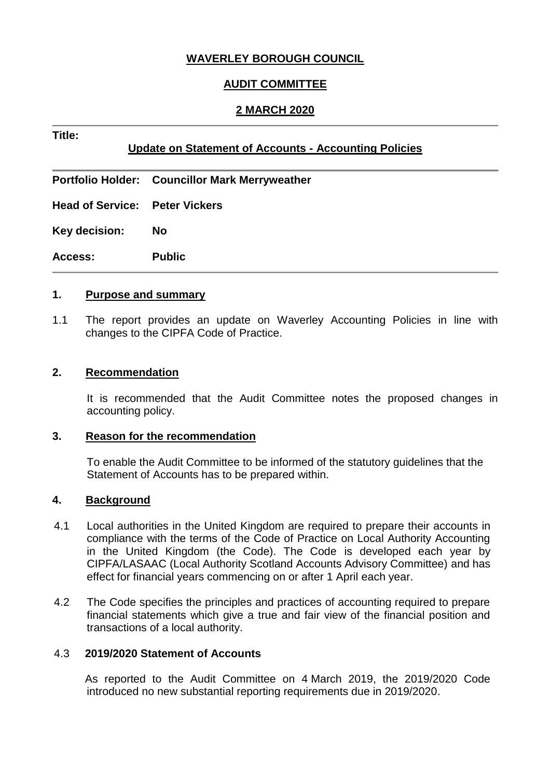# **WAVERLEY BOROUGH COUNCIL**

# **AUDIT COMMITTEE**

## **2 MARCH 2020**

# **Update on Statement of Accounts - Accounting Policies**

**Portfolio Holder: Councillor Mark Merryweather**

**Head of Service: Peter Vickers**

**Key decision: No**

**Title:**

**Access: Public**

#### **1. Purpose and summary**

1.1 The report provides an update on Waverley Accounting Policies in line with changes to the CIPFA Code of Practice.

#### **2. Recommendation**

It is recommended that the Audit Committee notes the proposed changes in accounting policy.

#### **3. Reason for the recommendation**

To enable the Audit Committee to be informed of the statutory guidelines that the Statement of Accounts has to be prepared within.

### **4. Background**

- 4.1 Local authorities in the United Kingdom are required to prepare their accounts in compliance with the terms of the Code of Practice on Local Authority Accounting in the United Kingdom (the Code). The Code is developed each year by CIPFA/LASAAC (Local Authority Scotland Accounts Advisory Committee) and has effect for financial years commencing on or after 1 April each year.
- 4.2 The Code specifies the principles and practices of accounting required to prepare financial statements which give a true and fair view of the financial position and transactions of a local authority.

### 4.3 **2019/2020 Statement of Accounts**

 As reported to the Audit Committee on 4 March 2019, the 2019/2020 Code introduced no new substantial reporting requirements due in 2019/2020.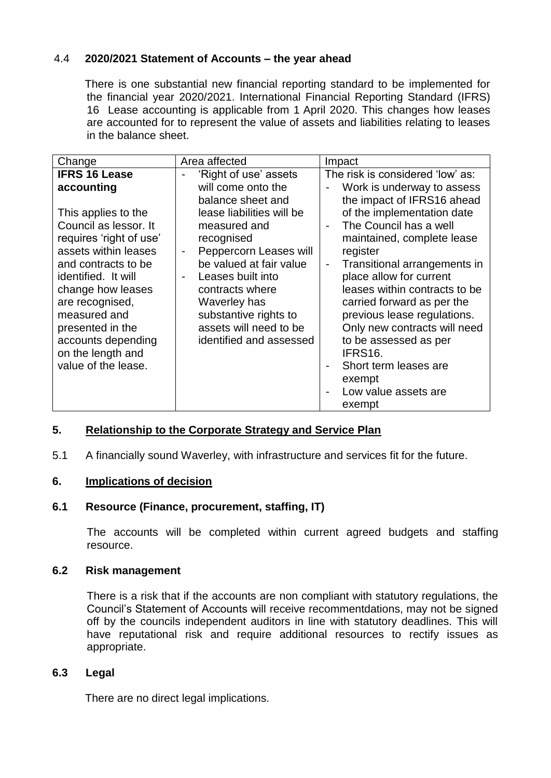# 4.4 **2020/2021 Statement of Accounts – the year ahead**

 There is one substantial new financial reporting standard to be implemented for the financial year 2020/2021. International Financial Reporting Standard (IFRS) 16 Lease accounting is applicable from 1 April 2020. This changes how leases are accounted for to represent the value of assets and liabilities relating to leases in the balance sheet.

| Change                                                                                                                                                                                                                                                                                      | Area affected                                                                                                                                                                                                                                                                                            | Impact                                                                                                                                                                                                                                                                                                                                                                                                                                                     |
|---------------------------------------------------------------------------------------------------------------------------------------------------------------------------------------------------------------------------------------------------------------------------------------------|----------------------------------------------------------------------------------------------------------------------------------------------------------------------------------------------------------------------------------------------------------------------------------------------------------|------------------------------------------------------------------------------------------------------------------------------------------------------------------------------------------------------------------------------------------------------------------------------------------------------------------------------------------------------------------------------------------------------------------------------------------------------------|
| <b>IFRS 16 Lease</b>                                                                                                                                                                                                                                                                        | 'Right of use' assets                                                                                                                                                                                                                                                                                    | The risk is considered 'low' as:                                                                                                                                                                                                                                                                                                                                                                                                                           |
| accounting                                                                                                                                                                                                                                                                                  | will come onto the                                                                                                                                                                                                                                                                                       | Work is underway to assess                                                                                                                                                                                                                                                                                                                                                                                                                                 |
| This applies to the<br>Council as lessor. It<br>requires 'right of use'<br>assets within leases<br>and contracts to be<br>identified. It will<br>change how leases<br>are recognised,<br>measured and<br>presented in the<br>accounts depending<br>on the length and<br>value of the lease. | balance sheet and<br>lease liabilities will be<br>measured and<br>recognised<br>Peppercorn Leases will<br>-<br>be valued at fair value<br>Leases built into<br>$\overline{\phantom{a}}$<br>contracts where<br>Waverley has<br>substantive rights to<br>assets will need to be<br>identified and assessed | the impact of IFRS16 ahead<br>of the implementation date<br>The Council has a well<br>maintained, complete lease<br>register<br>Transitional arrangements in<br>$\overline{\phantom{a}}$<br>place allow for current<br>leases within contracts to be<br>carried forward as per the<br>previous lease regulations.<br>Only new contracts will need<br>to be assessed as per<br>IFRS16.<br>Short term leases are<br>exempt<br>Low value assets are<br>exempt |

### **5. Relationship to the Corporate Strategy and Service Plan**

5.1 A financially sound Waverley, with infrastructure and services fit for the future.

### **6. Implications of decision**

## **6.1 Resource (Finance, procurement, staffing, IT)**

The accounts will be completed within current agreed budgets and staffing resource.

## **6.2 Risk management**

There is a risk that if the accounts are non compliant with statutory regulations, the Council's Statement of Accounts will receive recommentdations, may not be signed off by the councils independent auditors in line with statutory deadlines. This will have reputational risk and require additional resources to rectify issues as appropriate.

### **6.3 Legal**

There are no direct legal implications.